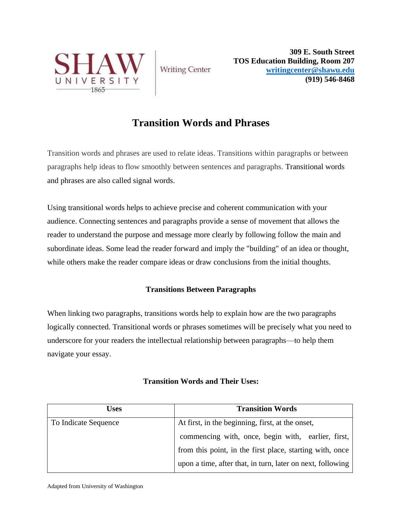

**Writing Center** 

**309 E. South Street TOS Education Building, Room 207 [writingcenter@shawu.edu](mailto:writingcenter@shawu.edu) (919) 546-8468**

## **Transition Words and Phrases**

Transition words and phrases are used to relate ideas. Transitions within paragraphs or between paragraphs help ideas to flow smoothly between sentences and paragraphs. Transitional words and phrases are also called signal words.

Using transitional words helps to achieve precise and coherent communication with your audience. Connecting sentences and paragraphs provide a sense of movement that allows the reader to understand the purpose and message more clearly by following follow the main and subordinate ideas. Some lead the reader forward and imply the "building" of an idea or thought, while others make the reader compare ideas or draw conclusions from the initial thoughts.

## **Transitions Between Paragraphs**

When linking two paragraphs, transitions words help to explain how are the two paragraphs logically connected. Transitional words or phrases sometimes will be precisely what you need to underscore for your readers the intellectual relationship between paragraphs—to help them navigate your essay.

| Uses                 | <b>Transition Words</b>                                    |
|----------------------|------------------------------------------------------------|
| To Indicate Sequence | At first, in the beginning, first, at the onset,           |
|                      | commencing with, once, begin with, earlier, first,         |
|                      | from this point, in the first place, starting with, once   |
|                      | upon a time, after that, in turn, later on next, following |

## **Transition Words and Their Uses:**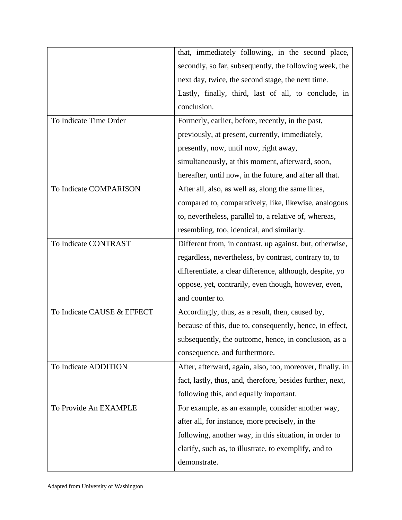|                            | that, immediately following, in the second place,          |
|----------------------------|------------------------------------------------------------|
|                            | secondly, so far, subsequently, the following week, the    |
|                            | next day, twice, the second stage, the next time.          |
|                            | Lastly, finally, third, last of all, to conclude, in       |
|                            | conclusion.                                                |
| To Indicate Time Order     | Formerly, earlier, before, recently, in the past,          |
|                            | previously, at present, currently, immediately,            |
|                            | presently, now, until now, right away,                     |
|                            | simultaneously, at this moment, afterward, soon,           |
|                            | hereafter, until now, in the future, and after all that.   |
| To Indicate COMPARISON     | After all, also, as well as, along the same lines,         |
|                            | compared to, comparatively, like, likewise, analogous      |
|                            | to, nevertheless, parallel to, a relative of, whereas,     |
|                            | resembling, too, identical, and similarly.                 |
| To Indicate CONTRAST       | Different from, in contrast, up against, but, otherwise,   |
|                            | regardless, nevertheless, by contrast, contrary to, to     |
|                            | differentiate, a clear difference, although, despite, yo   |
|                            | oppose, yet, contrarily, even though, however, even,       |
|                            | and counter to.                                            |
| To Indicate CAUSE & EFFECT | Accordingly, thus, as a result, then, caused by,           |
|                            | because of this, due to, consequently, hence, in effect,   |
|                            | subsequently, the outcome, hence, in conclusion, as a      |
|                            | consequence, and furthermore.                              |
| To Indicate ADDITION       | After, afterward, again, also, too, moreover, finally, in  |
|                            | fact, lastly, thus, and, therefore, besides further, next, |
|                            | following this, and equally important.                     |
| To Provide An EXAMPLE      | For example, as an example, consider another way,          |
|                            | after all, for instance, more precisely, in the            |
|                            | following, another way, in this situation, in order to     |
|                            | clarify, such as, to illustrate, to exemplify, and to      |
|                            | demonstrate.                                               |